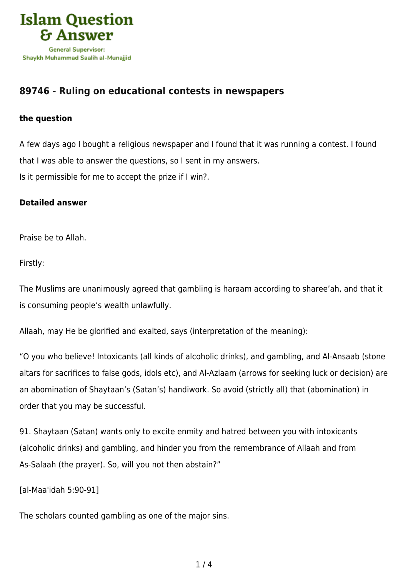

## **[89746 - Ruling on educational contests in newspapers](https://islamqa.info/en/answers/89746/ruling-on-educational-contests-in-newspapers)**

## **the question**

A few days ago I bought a religious newspaper and I found that it was running a contest. I found that I was able to answer the questions, so I sent in my answers. Is it permissible for me to accept the prize if I win?.

## **Detailed answer**

Praise be to Allah.

Firstly:

The Muslims are unanimously agreed that gambling is haraam according to sharee'ah, and that it is consuming people's wealth unlawfully.

Allaah, may He be glorified and exalted, says (interpretation of the meaning):

"O you who believe! Intoxicants (all kinds of alcoholic drinks), and gambling, and Al‑Ansaab (stone altars for sacrifices to false gods, idols etc), and Al‑Azlaam (arrows for seeking luck or decision) are an abomination of Shaytaan's (Satan's) handiwork. So avoid (strictly all) that (abomination) in order that you may be successful.

91. Shaytaan (Satan) wants only to excite enmity and hatred between you with intoxicants (alcoholic drinks) and gambling, and hinder you from the remembrance of Allaah and from As‑Salaah (the prayer). So, will you not then abstain?"

[al-Maa'idah 5:90-91]

The scholars counted gambling as one of the major sins.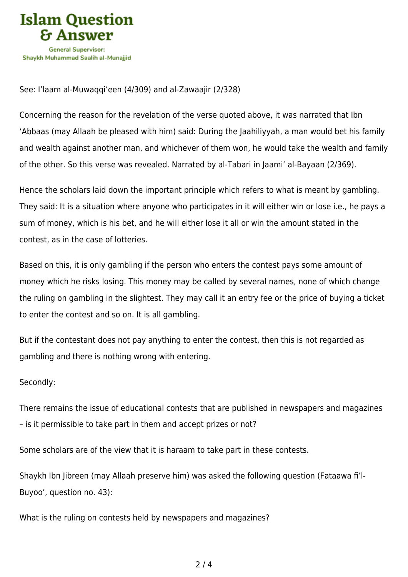

## See: I'laam al-Muwaqqi'een (4/309) and al-Zawaajir (2/328)

Concerning the reason for the revelation of the verse quoted above, it was narrated that Ibn 'Abbaas (may Allaah be pleased with him) said: During the Jaahiliyyah, a man would bet his family and wealth against another man, and whichever of them won, he would take the wealth and family of the other. So this verse was revealed. Narrated by al-Tabari in Jaami' al-Bayaan (2/369).

Hence the scholars laid down the important principle which refers to what is meant by gambling. They said: It is a situation where anyone who participates in it will either win or lose i.e., he pays a sum of money, which is his bet, and he will either lose it all or win the amount stated in the contest, as in the case of lotteries.

Based on this, it is only gambling if the person who enters the contest pays some amount of money which he risks losing. This money may be called by several names, none of which change the ruling on gambling in the slightest. They may call it an entry fee or the price of buying a ticket to enter the contest and so on. It is all gambling.

But if the contestant does not pay anything to enter the contest, then this is not regarded as gambling and there is nothing wrong with entering.

Secondly:

There remains the issue of educational contests that are published in newspapers and magazines – is it permissible to take part in them and accept prizes or not?

Some scholars are of the view that it is haraam to take part in these contests.

Shaykh Ibn Jibreen (may Allaah preserve him) was asked the following question (Fataawa fi'l-Buyoo', question no. 43):

What is the ruling on contests held by newspapers and magazines?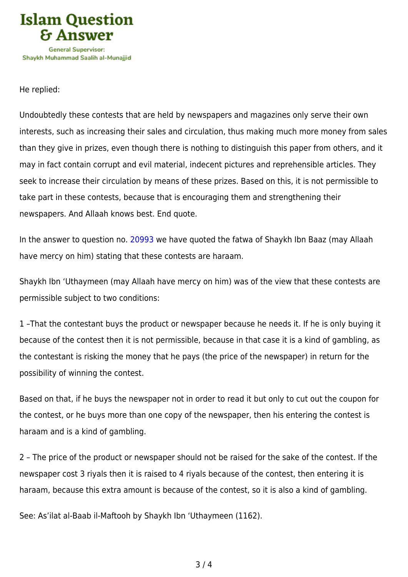

He replied:

Undoubtedly these contests that are held by newspapers and magazines only serve their own interests, such as increasing their sales and circulation, thus making much more money from sales than they give in prizes, even though there is nothing to distinguish this paper from others, and it may in fact contain corrupt and evil material, indecent pictures and reprehensible articles. They seek to increase their circulation by means of these prizes. Based on this, it is not permissible to take part in these contests, because that is encouraging them and strengthening their newspapers. And Allaah knows best. End quote.

In the answer to question no. [20993](https://islamqa.info/en/answers/20993) we have quoted the fatwa of Shaykh Ibn Baaz (may Allaah have mercy on him) stating that these contests are haraam.

Shaykh Ibn 'Uthaymeen (may Allaah have mercy on him) was of the view that these contests are permissible subject to two conditions:

1 –That the contestant buys the product or newspaper because he needs it. If he is only buying it because of the contest then it is not permissible, because in that case it is a kind of gambling, as the contestant is risking the money that he pays (the price of the newspaper) in return for the possibility of winning the contest.

Based on that, if he buys the newspaper not in order to read it but only to cut out the coupon for the contest, or he buys more than one copy of the newspaper, then his entering the contest is haraam and is a kind of gambling.

2 – The price of the product or newspaper should not be raised for the sake of the contest. If the newspaper cost 3 riyals then it is raised to 4 riyals because of the contest, then entering it is haraam, because this extra amount is because of the contest, so it is also a kind of gambling.

See: As'ilat al-Baab il-Maftooh by Shaykh Ibn 'Uthaymeen (1162).